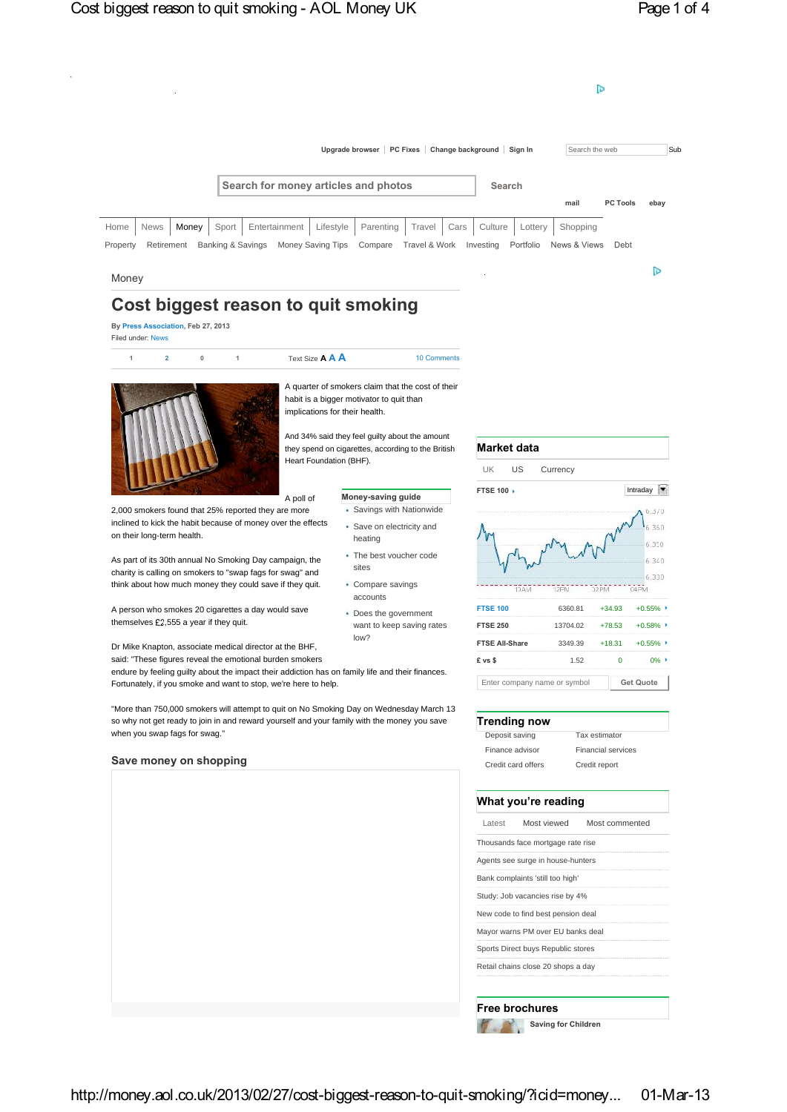

**Saving for Children**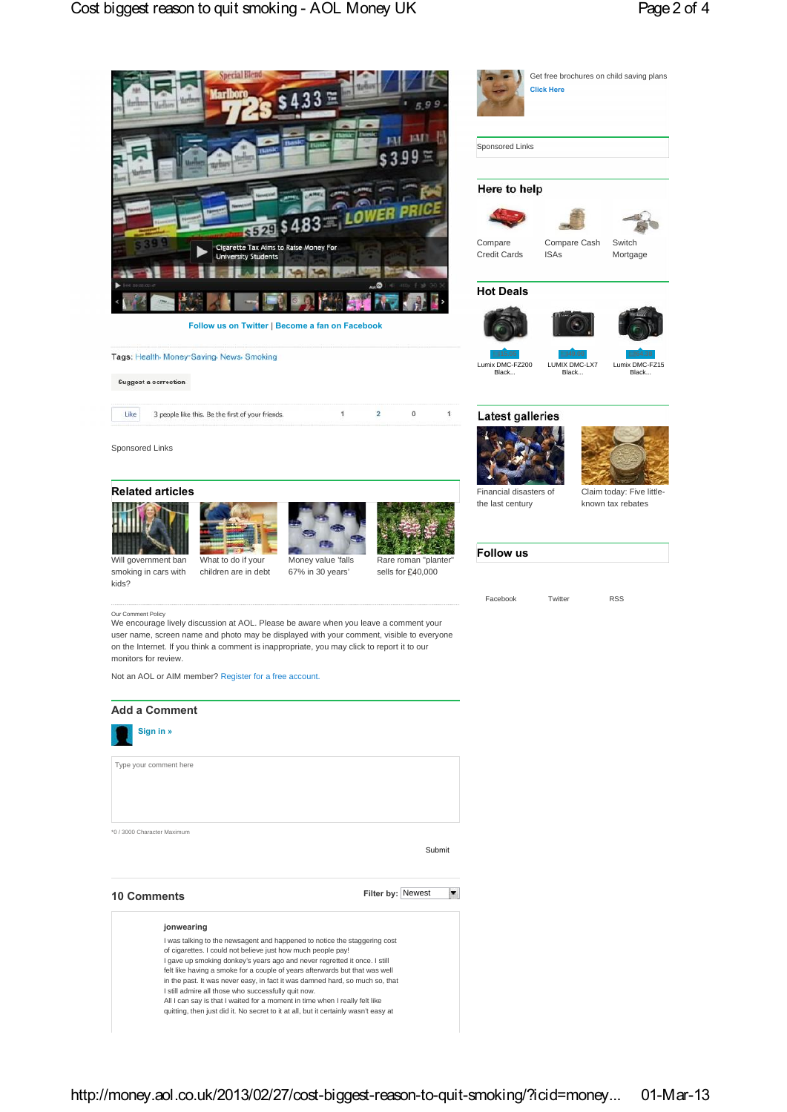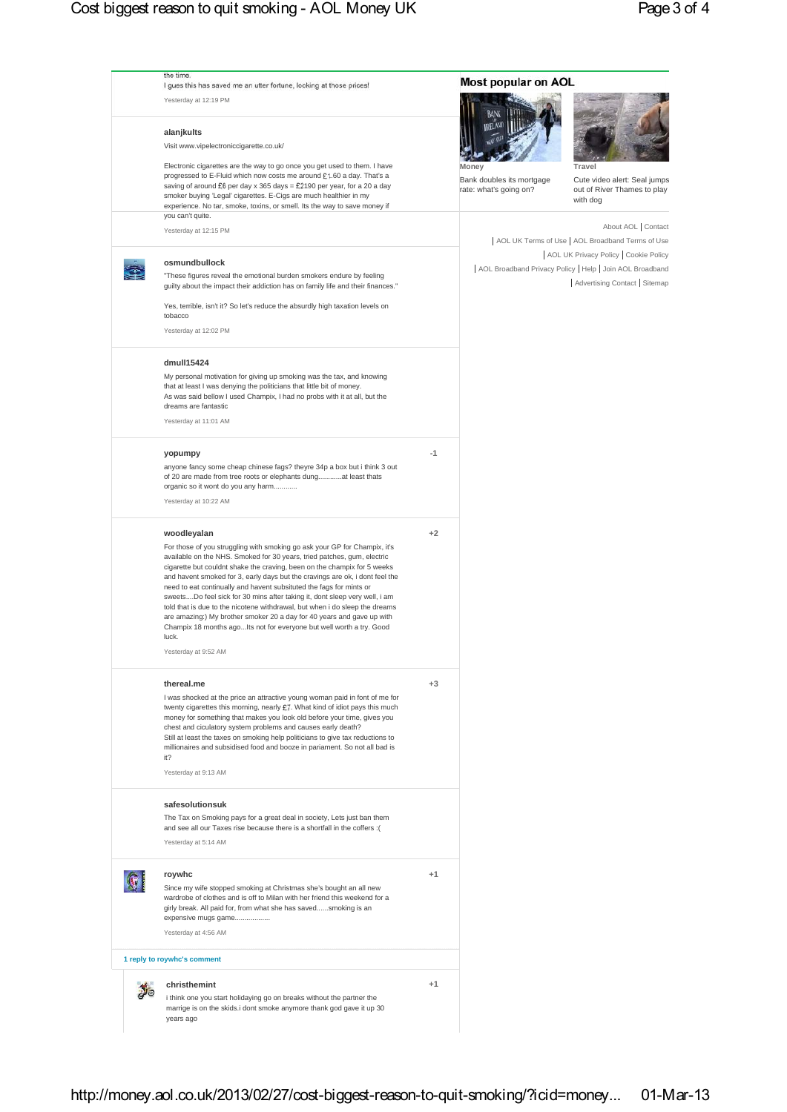|  | the time.<br>I gues this has saved me an utter fortune, looking at those prices!<br>Yesterday at 12:19 PM                                                                                                                                                                                                                                                                                                                                                                                                                                                                                                                                                                                                                                              |      | Most popular on AOL                                          |                                                                                                                                                                                                                     |
|--|--------------------------------------------------------------------------------------------------------------------------------------------------------------------------------------------------------------------------------------------------------------------------------------------------------------------------------------------------------------------------------------------------------------------------------------------------------------------------------------------------------------------------------------------------------------------------------------------------------------------------------------------------------------------------------------------------------------------------------------------------------|------|--------------------------------------------------------------|---------------------------------------------------------------------------------------------------------------------------------------------------------------------------------------------------------------------|
|  | alanjkults<br>Visit www.vipelectroniccigarette.co.uk/                                                                                                                                                                                                                                                                                                                                                                                                                                                                                                                                                                                                                                                                                                  |      |                                                              |                                                                                                                                                                                                                     |
|  | Electronic cigarettes are the way to go once you get used to them. I have<br>progressed to E-Fluid which now costs me around £1.60 a day. That's a<br>saving of around £6 per day x 365 days = £2190 per year, for a 20 a day<br>smoker buying 'Legal' cigarettes. E-Cigs are much healthier in my<br>experience. No tar, smoke, toxins, or smell. Its the way to save money if                                                                                                                                                                                                                                                                                                                                                                        |      | Money<br>Bank doubles its mortgage<br>rate: what's going on? | Travel<br>Cute video alert: Seal jumps<br>out of River Thames to play<br>with dog                                                                                                                                   |
|  | you can't quite.                                                                                                                                                                                                                                                                                                                                                                                                                                                                                                                                                                                                                                                                                                                                       |      |                                                              |                                                                                                                                                                                                                     |
|  | Yesterday at 12:15 PM<br>osmundbullock                                                                                                                                                                                                                                                                                                                                                                                                                                                                                                                                                                                                                                                                                                                 |      |                                                              | About AOL   Contact<br>  AOL UK Terms of Use   AOL Broadband Terms of Use<br>  AOL UK Privacy Policy   Cookie Policy<br>  AOL Broadband Privacy Policy   Help   Join AOL Broadband<br>Advertising Contact   Sitemap |
|  | "These figures reveal the emotional burden smokers endure by feeling<br>guilty about the impact their addiction has on family life and their finances."<br>Yes, terrible, isn't it? So let's reduce the absurdly high taxation levels on<br>tobacco                                                                                                                                                                                                                                                                                                                                                                                                                                                                                                    |      |                                                              |                                                                                                                                                                                                                     |
|  | Yesterday at 12:02 PM                                                                                                                                                                                                                                                                                                                                                                                                                                                                                                                                                                                                                                                                                                                                  |      |                                                              |                                                                                                                                                                                                                     |
|  | dmull15424<br>My personal motivation for giving up smoking was the tax, and knowing<br>that at least I was denying the politicians that little bit of money.<br>As was said bellow I used Champix, I had no probs with it at all, but the<br>dreams are fantastic<br>Yesterday at 11:01 AM                                                                                                                                                                                                                                                                                                                                                                                                                                                             |      |                                                              |                                                                                                                                                                                                                     |
|  |                                                                                                                                                                                                                                                                                                                                                                                                                                                                                                                                                                                                                                                                                                                                                        |      |                                                              |                                                                                                                                                                                                                     |
|  | yopumpy<br>anyone fancy some cheap chinese fags? theyre 34p a box but i think 3 out<br>of 20 are made from tree roots or elephants dungat least thats<br>organic so it wont do you any harm<br>Yesterday at 10:22 AM                                                                                                                                                                                                                                                                                                                                                                                                                                                                                                                                   | $-1$ |                                                              |                                                                                                                                                                                                                     |
|  |                                                                                                                                                                                                                                                                                                                                                                                                                                                                                                                                                                                                                                                                                                                                                        |      |                                                              |                                                                                                                                                                                                                     |
|  | woodleyalan<br>For those of you struggling with smoking go ask your GP for Champix, it's<br>available on the NHS. Smoked for 30 years, tried patches, gum, electric<br>cigarette but couldnt shake the craving, been on the champix for 5 weeks<br>and havent smoked for 3, early days but the cravings are ok, i dont feel the<br>need to eat continually and havent subsituted the fags for mints or<br>sweetsDo feel sick for 30 mins after taking it, dont sleep very well, i am<br>told that is due to the nicotene withdrawal, but when i do sleep the dreams<br>are amazing:) My brother smoker 20 a day for 40 years and gave up with<br>Champix 18 months agoIts not for everyone but well worth a try. Good<br>luck.<br>Yesterday at 9:52 AM | $+2$ |                                                              |                                                                                                                                                                                                                     |
|  | thereal.me<br>I was shocked at the price an attractive young woman paid in font of me for<br>twenty cigarettes this morning, nearly £7. What kind of idiot pays this much<br>money for something that makes you look old before your time, gives you<br>chest and ciculatory system problems and causes early death?<br>Still at least the taxes on smoking help politicians to give tax reductions to<br>millionaires and subsidised food and booze in pariament. So not all bad is<br>it?<br>Yesterday at 9:13 AM                                                                                                                                                                                                                                    | $+3$ |                                                              |                                                                                                                                                                                                                     |
|  | safesolutionsuk<br>The Tax on Smoking pays for a great deal in society, Lets just ban them<br>and see all our Taxes rise because there is a shortfall in the coffers :(<br>Yesterday at 5:14 AM                                                                                                                                                                                                                                                                                                                                                                                                                                                                                                                                                        |      |                                                              |                                                                                                                                                                                                                     |
|  | roywhc<br>Since my wife stopped smoking at Christmas she's bought an all new<br>wardrobe of clothes and is off to Milan with her friend this weekend for a<br>girly break. All paid for, from what she has savedsmoking is an<br>expensive mugs game                                                                                                                                                                                                                                                                                                                                                                                                                                                                                                   | $+1$ |                                                              |                                                                                                                                                                                                                     |
|  | Yesterday at 4:56 AM<br>1 reply to roywhc's comment                                                                                                                                                                                                                                                                                                                                                                                                                                                                                                                                                                                                                                                                                                    |      |                                                              |                                                                                                                                                                                                                     |
|  | christhemint                                                                                                                                                                                                                                                                                                                                                                                                                                                                                                                                                                                                                                                                                                                                           | $+1$ |                                                              |                                                                                                                                                                                                                     |
|  | i think one you start holidaying go on breaks without the partner the<br>marrige is on the skids.i dont smoke anymore thank god gave it up 30<br>years ago                                                                                                                                                                                                                                                                                                                                                                                                                                                                                                                                                                                             |      |                                                              |                                                                                                                                                                                                                     |